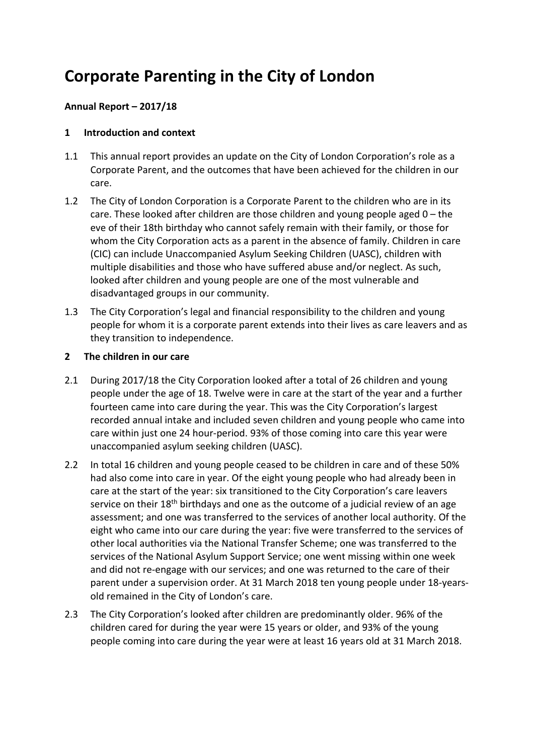# **Corporate Parenting in the City of London**

## **Annual Report – 2017/18**

#### **1 Introduction and context**

- 1.1 This annual report provides an update on the City of London Corporation's role as a Corporate Parent, and the outcomes that have been achieved for the children in our care.
- 1.2 The City of London Corporation is a Corporate Parent to the children who are in its care. These looked after children are those children and young people aged 0 – the eve of their 18th birthday who cannot safely remain with their family, or those for whom the City Corporation acts as a parent in the absence of family. Children in care (CIC) can include Unaccompanied Asylum Seeking Children (UASC), children with multiple disabilities and those who have suffered abuse and/or neglect. As such, looked after children and young people are one of the most vulnerable and disadvantaged groups in our community.
- 1.3 The City Corporation's legal and financial responsibility to the children and young people for whom it is a corporate parent extends into their lives as care leavers and as they transition to independence.

#### **2 The children in our care**

- 2.1 During 2017/18 the City Corporation looked after a total of 26 children and young people under the age of 18. Twelve were in care at the start of the year and a further fourteen came into care during the year. This was the City Corporation's largest recorded annual intake and included seven children and young people who came into care within just one 24 hour-period. 93% of those coming into care this year were unaccompanied asylum seeking children (UASC).
- 2.2 In total 16 children and young people ceased to be children in care and of these 50% had also come into care in year. Of the eight young people who had already been in care at the start of the year: six transitioned to the City Corporation's care leavers service on their 18<sup>th</sup> birthdays and one as the outcome of a judicial review of an age assessment; and one was transferred to the services of another local authority. Of the eight who came into our care during the year: five were transferred to the services of other local authorities via the National Transfer Scheme; one was transferred to the services of the National Asylum Support Service; one went missing within one week and did not re-engage with our services; and one was returned to the care of their parent under a supervision order. At 31 March 2018 ten young people under 18-yearsold remained in the City of London's care.
- 2.3 The City Corporation's looked after children are predominantly older. 96% of the children cared for during the year were 15 years or older, and 93% of the young people coming into care during the year were at least 16 years old at 31 March 2018.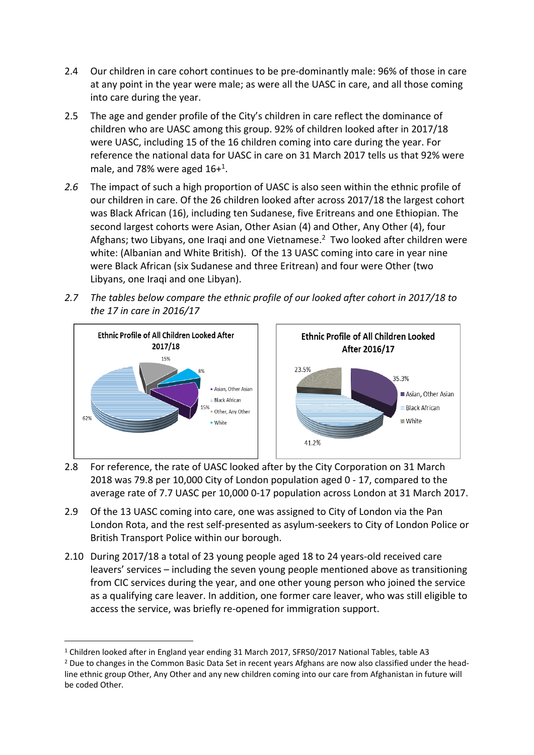- 2.4 Our children in care cohort continues to be pre-dominantly male: 96% of those in care at any point in the year were male; as were all the UASC in care, and all those coming into care during the year.
- 2.5 The age and gender profile of the City's children in care reflect the dominance of children who are UASC among this group. 92% of children looked after in 2017/18 were UASC, including 15 of the 16 children coming into care during the year. For reference the national data for UASC in care on 31 March 2017 tells us that 92% were male, and 78% were aged 16+<sup>1</sup>.
- *2.6* The impact of such a high proportion of UASC is also seen within the ethnic profile of our children in care. Of the 26 children looked after across 2017/18 the largest cohort was Black African (16), including ten Sudanese, five Eritreans and one Ethiopian. The second largest cohorts were Asian, Other Asian (4) and Other, Any Other (4), four Afghans; two Libyans, one Iraqi and one Vietnamese.<sup>2</sup> Two looked after children were white: (Albanian and White British). Of the 13 UASC coming into care in year nine were Black African (six Sudanese and three Eritrean) and four were Other (two Libyans, one Iraqi and one Libyan).
- *2.7 The tables below compare the ethnic profile of our looked after cohort in 2017/18 to the 17 in care in 2016/17*



- 2.8 For reference, the rate of UASC looked after by the City Corporation on 31 March 2018 was 79.8 per 10,000 City of London population aged 0 - 17, compared to the average rate of 7.7 UASC per 10,000 0-17 population across London at 31 March 2017.
- 2.9 Of the 13 UASC coming into care, one was assigned to City of London via the Pan London Rota, and the rest self-presented as asylum-seekers to City of London Police or British Transport Police within our borough.
- 2.10 During 2017/18 a total of 23 young people aged 18 to 24 years-old received care leavers' services – including the seven young people mentioned above as transitioning from CIC services during the year, and one other young person who joined the service as a qualifying care leaver. In addition, one former care leaver, who was still eligible to access the service, was briefly re-opened for immigration support.

<sup>1</sup> Children looked after in England year ending 31 March 2017, SFR50/2017 National Tables, table A3

<sup>&</sup>lt;sup>2</sup> Due to changes in the Common Basic Data Set in recent years Afghans are now also classified under the headline ethnic group Other, Any Other and any new children coming into our care from Afghanistan in future will be coded Other.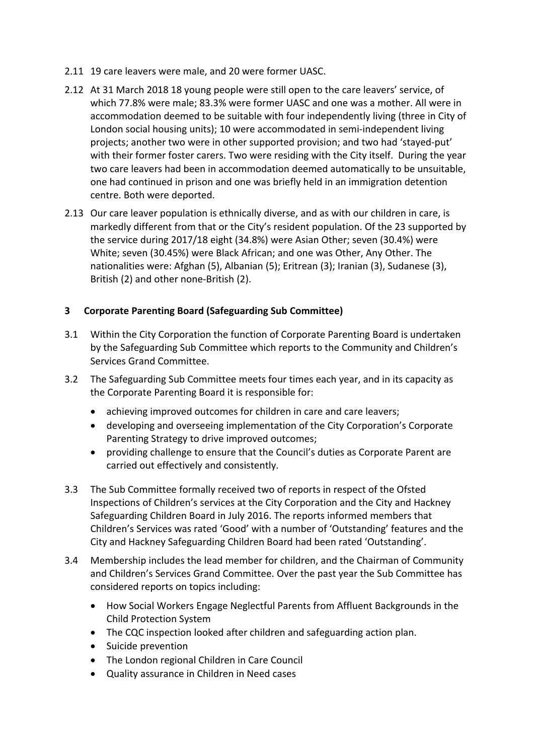- 2.11 19 care leavers were male, and 20 were former UASC.
- 2.12 At 31 March 2018 18 young people were still open to the care leavers' service, of which 77.8% were male; 83.3% were former UASC and one was a mother. All were in accommodation deemed to be suitable with four independently living (three in City of London social housing units); 10 were accommodated in semi-independent living projects; another two were in other supported provision; and two had 'stayed-put' with their former foster carers. Two were residing with the City itself. During the year two care leavers had been in accommodation deemed automatically to be unsuitable, one had continued in prison and one was briefly held in an immigration detention centre. Both were deported.
- 2.13 Our care leaver population is ethnically diverse, and as with our children in care, is markedly different from that or the City's resident population. Of the 23 supported by the service during 2017/18 eight (34.8%) were Asian Other; seven (30.4%) were White; seven (30.45%) were Black African; and one was Other, Any Other. The nationalities were: Afghan (5), Albanian (5); Eritrean (3); Iranian (3), Sudanese (3), British (2) and other none-British (2).

## **3 Corporate Parenting Board (Safeguarding Sub Committee)**

- 3.1 Within the City Corporation the function of Corporate Parenting Board is undertaken by the Safeguarding Sub Committee which reports to the Community and Children's Services Grand Committee.
- 3.2 The Safeguarding Sub Committee meets four times each year, and in its capacity as the Corporate Parenting Board it is responsible for:
	- achieving improved outcomes for children in care and care leavers;
	- developing and overseeing implementation of the City Corporation's Corporate Parenting Strategy to drive improved outcomes;
	- providing challenge to ensure that the Council's duties as Corporate Parent are carried out effectively and consistently.
- 3.3 The Sub Committee formally received two of reports in respect of the Ofsted Inspections of Children's services at the City Corporation and the City and Hackney Safeguarding Children Board in July 2016. The reports informed members that Children's Services was rated 'Good' with a number of 'Outstanding' features and the City and Hackney Safeguarding Children Board had been rated 'Outstanding'.
- 3.4 Membership includes the lead member for children, and the Chairman of Community and Children's Services Grand Committee. Over the past year the Sub Committee has considered reports on topics including:
	- How Social Workers Engage Neglectful Parents from Affluent Backgrounds in the Child Protection System
	- The CQC inspection looked after children and safeguarding action plan.
	- Suicide prevention
	- The London regional Children in Care Council
	- Quality assurance in Children in Need cases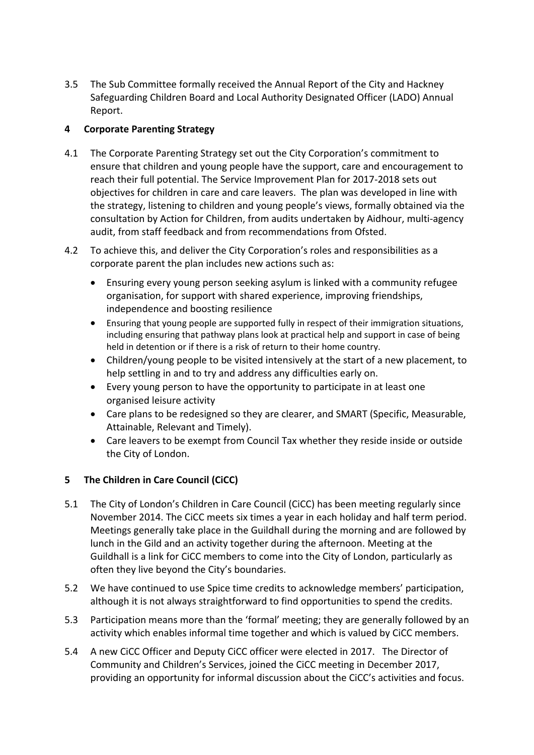3.5 The Sub Committee formally received the Annual Report of the City and Hackney Safeguarding Children Board and Local Authority Designated Officer (LADO) Annual Report.

# **4 Corporate Parenting Strategy**

- 4.1 The Corporate Parenting Strategy set out the City Corporation's commitment to ensure that children and young people have the support, care and encouragement to reach their full potential. The Service Improvement Plan for 2017-2018 sets out objectives for children in care and care leavers. The plan was developed in line with the strategy, listening to children and young people's views, formally obtained via the consultation by Action for Children, from audits undertaken by Aidhour, multi-agency audit, from staff feedback and from recommendations from Ofsted.
- 4.2 To achieve this, and deliver the City Corporation's roles and responsibilities as a corporate parent the plan includes new actions such as:
	- Ensuring every young person seeking asylum is linked with a community refugee organisation, for support with shared experience, improving friendships, independence and boosting resilience
	- Ensuring that young people are supported fully in respect of their immigration situations, including ensuring that pathway plans look at practical help and support in case of being held in detention or if there is a risk of return to their home country.
	- Children/young people to be visited intensively at the start of a new placement, to help settling in and to try and address any difficulties early on.
	- Every young person to have the opportunity to participate in at least one organised leisure activity
	- Care plans to be redesigned so they are clearer, and SMART (Specific, Measurable, Attainable, Relevant and Timely).
	- Care leavers to be exempt from Council Tax whether they reside inside or outside the City of London.

# **5 The Children in Care Council (CiCC)**

- 5.1 The City of London's Children in Care Council (CiCC) has been meeting regularly since November 2014. The CiCC meets six times a year in each holiday and half term period. Meetings generally take place in the Guildhall during the morning and are followed by lunch in the Gild and an activity together during the afternoon. Meeting at the Guildhall is a link for CiCC members to come into the City of London, particularly as often they live beyond the City's boundaries.
- 5.2 We have continued to use Spice time credits to acknowledge members' participation, although it is not always straightforward to find opportunities to spend the credits.
- 5.3 Participation means more than the 'formal' meeting; they are generally followed by an activity which enables informal time together and which is valued by CiCC members.
- 5.4 A new CiCC Officer and Deputy CiCC officer were elected in 2017. The Director of Community and Children's Services, joined the CiCC meeting in December 2017, providing an opportunity for informal discussion about the CiCC's activities and focus.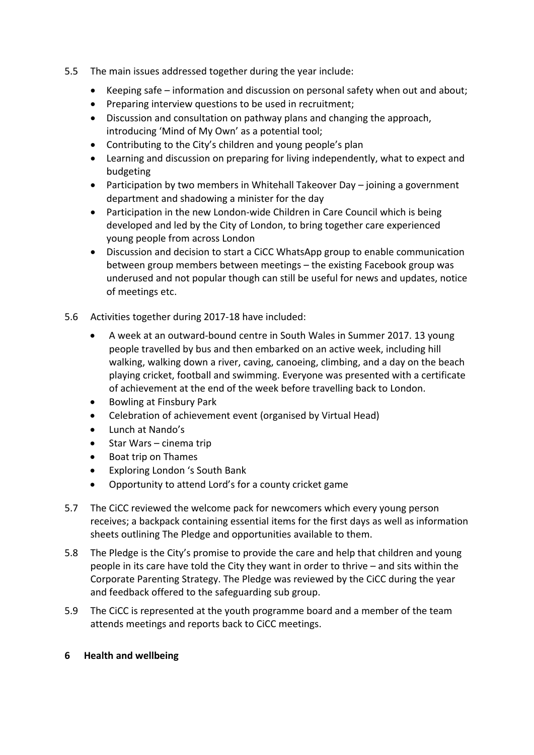- 5.5 The main issues addressed together during the year include:
	- Keeping safe information and discussion on personal safety when out and about;
	- Preparing interview questions to be used in recruitment;
	- Discussion and consultation on pathway plans and changing the approach, introducing 'Mind of My Own' as a potential tool;
	- Contributing to the City's children and young people's plan
	- Learning and discussion on preparing for living independently, what to expect and budgeting
	- Participation by two members in Whitehall Takeover Day joining a government department and shadowing a minister for the day
	- Participation in the new London-wide Children in Care Council which is being developed and led by the City of London, to bring together care experienced young people from across London
	- Discussion and decision to start a CiCC WhatsApp group to enable communication between group members between meetings – the existing Facebook group was underused and not popular though can still be useful for news and updates, notice of meetings etc.
- 5.6 Activities together during 2017-18 have included:
	- A week at an outward-bound centre in South Wales in Summer 2017. 13 young people travelled by bus and then embarked on an active week, including hill walking, walking down a river, caving, canoeing, climbing, and a day on the beach playing cricket, football and swimming. Everyone was presented with a certificate of achievement at the end of the week before travelling back to London.
	- Bowling at Finsbury Park
	- Celebration of achievement event (organised by Virtual Head)
	- Lunch at Nando's
	- Star Wars cinema trip
	- Boat trip on Thames
	- Exploring London 's South Bank
	- Opportunity to attend Lord's for a county cricket game
- 5.7 The CiCC reviewed the welcome pack for newcomers which every young person receives; a backpack containing essential items for the first days as well as information sheets outlining The Pledge and opportunities available to them.
- 5.8 The Pledge is the City's promise to provide the care and help that children and young people in its care have told the City they want in order to thrive – and sits within the Corporate Parenting Strategy. The Pledge was reviewed by the CiCC during the year and feedback offered to the safeguarding sub group.
- 5.9 The CiCC is represented at the youth programme board and a member of the team attends meetings and reports back to CiCC meetings.
- **6 Health and wellbeing**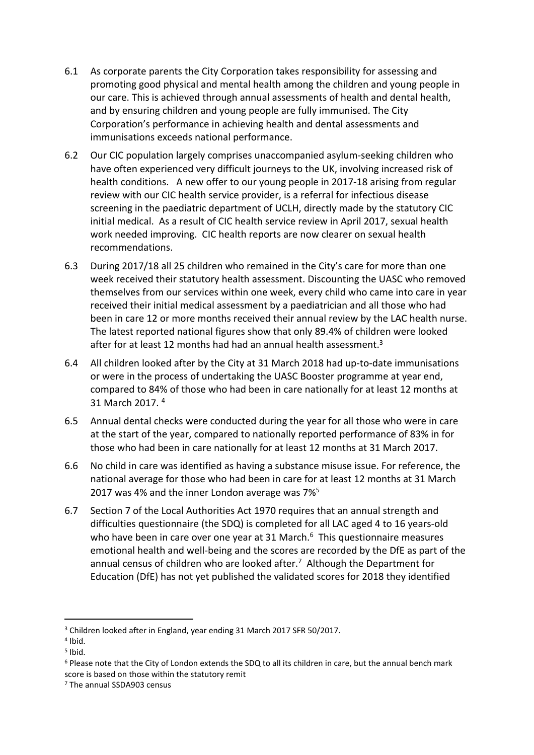- 6.1 As corporate parents the City Corporation takes responsibility for assessing and promoting good physical and mental health among the children and young people in our care. This is achieved through annual assessments of health and dental health, and by ensuring children and young people are fully immunised. The City Corporation's performance in achieving health and dental assessments and immunisations exceeds national performance.
- 6.2 Our CIC population largely comprises unaccompanied asylum-seeking children who have often experienced very difficult journeys to the UK, involving increased risk of health conditions. A new offer to our young people in 2017-18 arising from regular review with our CIC health service provider, is a referral for infectious disease screening in the paediatric department of UCLH, directly made by the statutory CIC initial medical. As a result of CIC health service review in April 2017, sexual health work needed improving. CIC health reports are now clearer on sexual health recommendations.
- 6.3 During 2017/18 all 25 children who remained in the City's care for more than one week received their statutory health assessment. Discounting the UASC who removed themselves from our services within one week, every child who came into care in year received their initial medical assessment by a paediatrician and all those who had been in care 12 or more months received their annual review by the LAC health nurse. The latest reported national figures show that only 89.4% of children were looked after for at least 12 months had had an annual health assessment.<sup>3</sup>
- 6.4 All children looked after by the City at 31 March 2018 had up-to-date immunisations or were in the process of undertaking the UASC Booster programme at year end, compared to 84% of those who had been in care nationally for at least 12 months at 31 March 2017. <sup>4</sup>
- 6.5 Annual dental checks were conducted during the year for all those who were in care at the start of the year, compared to nationally reported performance of 83% in for those who had been in care nationally for at least 12 months at 31 March 2017.
- 6.6 No child in care was identified as having a substance misuse issue. For reference, the national average for those who had been in care for at least 12 months at 31 March 2017 was 4% and the inner London average was 7%<sup>5</sup>
- 6.7 Section 7 of the Local Authorities Act 1970 requires that an annual strength and difficulties questionnaire (the SDQ) is completed for all LAC aged 4 to 16 years-old who have been in care over one year at 31 March.<sup>6</sup> This questionnaire measures emotional health and well-being and the scores are recorded by the DfE as part of the annual census of children who are looked after.<sup>7</sup> Although the Department for Education (DfE) has not yet published the validated scores for 2018 they identified

<sup>3</sup> Children looked after in England, year ending 31 March 2017 SFR 50/2017.

<sup>4</sup> Ibid.

<sup>5</sup> Ibid.

<sup>6</sup> Please note that the City of London extends the SDQ to all its children in care, but the annual bench mark score is based on those within the statutory remit

<sup>7</sup> The annual SSDA903 census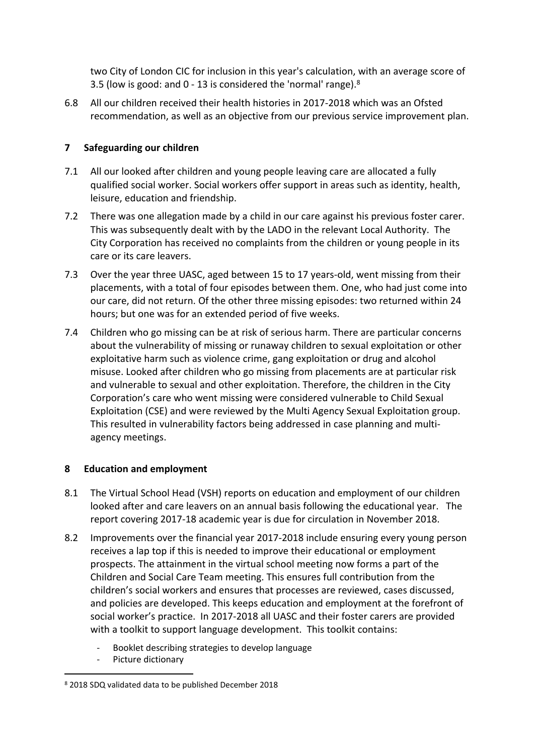two City of London CIC for inclusion in this year's calculation, with an average score of 3.5 (low is good: and 0 - 13 is considered the 'normal' range).<sup>8</sup>

6.8 All our children received their health histories in 2017-2018 which was an Ofsted recommendation, as well as an objective from our previous service improvement plan.

# **7 Safeguarding our children**

- 7.1 All our looked after children and young people leaving care are allocated a fully qualified social worker. Social workers offer support in areas such as identity, health, leisure, education and friendship.
- 7.2 There was one allegation made by a child in our care against his previous foster carer. This was subsequently dealt with by the LADO in the relevant Local Authority. The City Corporation has received no complaints from the children or young people in its care or its care leavers.
- 7.3 Over the year three UASC, aged between 15 to 17 years-old, went missing from their placements, with a total of four episodes between them. One, who had just come into our care, did not return. Of the other three missing episodes: two returned within 24 hours; but one was for an extended period of five weeks.
- 7.4 Children who go missing can be at risk of serious harm. There are particular concerns about the vulnerability of missing or runaway children to sexual exploitation or other exploitative harm such as violence crime, gang exploitation or drug and alcohol misuse. Looked after children who go missing from placements are at particular risk and vulnerable to sexual and other exploitation. Therefore, the children in the City Corporation's care who went missing were considered vulnerable to Child Sexual Exploitation (CSE) and were reviewed by the Multi Agency Sexual Exploitation group. This resulted in vulnerability factors being addressed in case planning and multiagency meetings.

## **8 Education and employment**

- 8.1 The Virtual School Head (VSH) reports on education and employment of our children looked after and care leavers on an annual basis following the educational year. The report covering 2017-18 academic year is due for circulation in November 2018.
- 8.2 Improvements over the financial year 2017-2018 include ensuring every young person receives a lap top if this is needed to improve their educational or employment prospects. The attainment in the virtual school meeting now forms a part of the Children and Social Care Team meeting. This ensures full contribution from the children's social workers and ensures that processes are reviewed, cases discussed, and policies are developed. This keeps education and employment at the forefront of social worker's practice. In 2017-2018 all UASC and their foster carers are provided with a toolkit to support language development. This toolkit contains:
	- Booklet describing strategies to develop language
	- Picture dictionary

<sup>8</sup> 2018 SDQ validated data to be published December 2018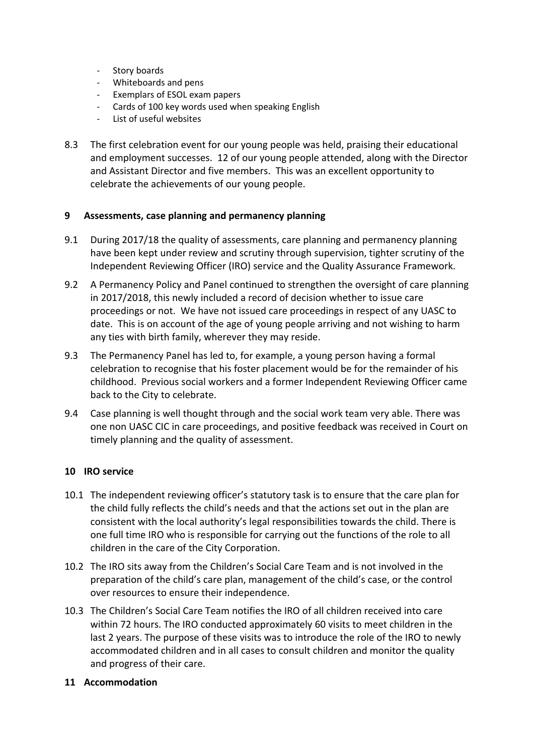- Story boards
- Whiteboards and pens
- Exemplars of ESOL exam papers
- Cards of 100 key words used when speaking English
- List of useful websites
- 8.3 The first celebration event for our young people was held, praising their educational and employment successes. 12 of our young people attended, along with the Director and Assistant Director and five members. This was an excellent opportunity to celebrate the achievements of our young people.

#### **9 Assessments, case planning and permanency planning**

- 9.1 During 2017/18 the quality of assessments, care planning and permanency planning have been kept under review and scrutiny through supervision, tighter scrutiny of the Independent Reviewing Officer (IRO) service and the Quality Assurance Framework.
- 9.2 A Permanency Policy and Panel continued to strengthen the oversight of care planning in 2017/2018, this newly included a record of decision whether to issue care proceedings or not. We have not issued care proceedings in respect of any UASC to date. This is on account of the age of young people arriving and not wishing to harm any ties with birth family, wherever they may reside.
- 9.3 The Permanency Panel has led to, for example, a young person having a formal celebration to recognise that his foster placement would be for the remainder of his childhood. Previous social workers and a former Independent Reviewing Officer came back to the City to celebrate.
- 9.4 Case planning is well thought through and the social work team very able. There was one non UASC CIC in care proceedings, and positive feedback was received in Court on timely planning and the quality of assessment.

#### **10 IRO service**

- 10.1 The independent reviewing officer's statutory task is to ensure that the care plan for the child fully reflects the child's needs and that the actions set out in the plan are consistent with the local authority's legal responsibilities towards the child. There is one full time IRO who is responsible for carrying out the functions of the role to all children in the care of the City Corporation.
- 10.2 The IRO sits away from the Children's Social Care Team and is not involved in the preparation of the child's care plan, management of the child's case, or the control over resources to ensure their independence.
- 10.3 The Children's Social Care Team notifies the IRO of all children received into care within 72 hours. The IRO conducted approximately 60 visits to meet children in the last 2 years. The purpose of these visits was to introduce the role of the IRO to newly accommodated children and in all cases to consult children and monitor the quality and progress of their care.

#### **11 Accommodation**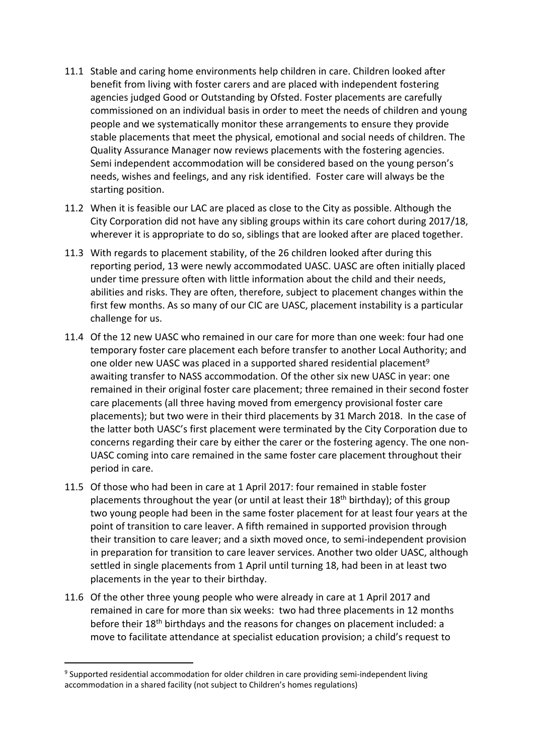- 11.1 Stable and caring home environments help children in care. Children looked after benefit from living with foster carers and are placed with independent fostering agencies judged Good or Outstanding by Ofsted. Foster placements are carefully commissioned on an individual basis in order to meet the needs of children and young people and we systematically monitor these arrangements to ensure they provide stable placements that meet the physical, emotional and social needs of children. The Quality Assurance Manager now reviews placements with the fostering agencies. Semi independent accommodation will be considered based on the young person's needs, wishes and feelings, and any risk identified. Foster care will always be the starting position.
- 11.2 When it is feasible our LAC are placed as close to the City as possible. Although the City Corporation did not have any sibling groups within its care cohort during 2017/18, wherever it is appropriate to do so, siblings that are looked after are placed together.
- 11.3 With regards to placement stability, of the 26 children looked after during this reporting period, 13 were newly accommodated UASC. UASC are often initially placed under time pressure often with little information about the child and their needs, abilities and risks. They are often, therefore, subject to placement changes within the first few months. As so many of our CIC are UASC, placement instability is a particular challenge for us.
- 11.4 Of the 12 new UASC who remained in our care for more than one week: four had one temporary foster care placement each before transfer to another Local Authority; and one older new UASC was placed in a supported shared residential placement<sup>9</sup> awaiting transfer to NASS accommodation. Of the other six new UASC in year: one remained in their original foster care placement; three remained in their second foster care placements (all three having moved from emergency provisional foster care placements); but two were in their third placements by 31 March 2018. In the case of the latter both UASC's first placement were terminated by the City Corporation due to concerns regarding their care by either the carer or the fostering agency. The one non-UASC coming into care remained in the same foster care placement throughout their period in care.
- 11.5 Of those who had been in care at 1 April 2017: four remained in stable foster placements throughout the year (or until at least their 18<sup>th</sup> birthday); of this group two young people had been in the same foster placement for at least four years at the point of transition to care leaver. A fifth remained in supported provision through their transition to care leaver; and a sixth moved once, to semi-independent provision in preparation for transition to care leaver services. Another two older UASC, although settled in single placements from 1 April until turning 18, had been in at least two placements in the year to their birthday.
- 11.6 Of the other three young people who were already in care at 1 April 2017 and remained in care for more than six weeks: two had three placements in 12 months before their 18th birthdays and the reasons for changes on placement included: a move to facilitate attendance at specialist education provision; a child's request to

<sup>9</sup> Supported residential accommodation for older children in care providing semi-independent living accommodation in a shared facility (not subject to Children's homes regulations)